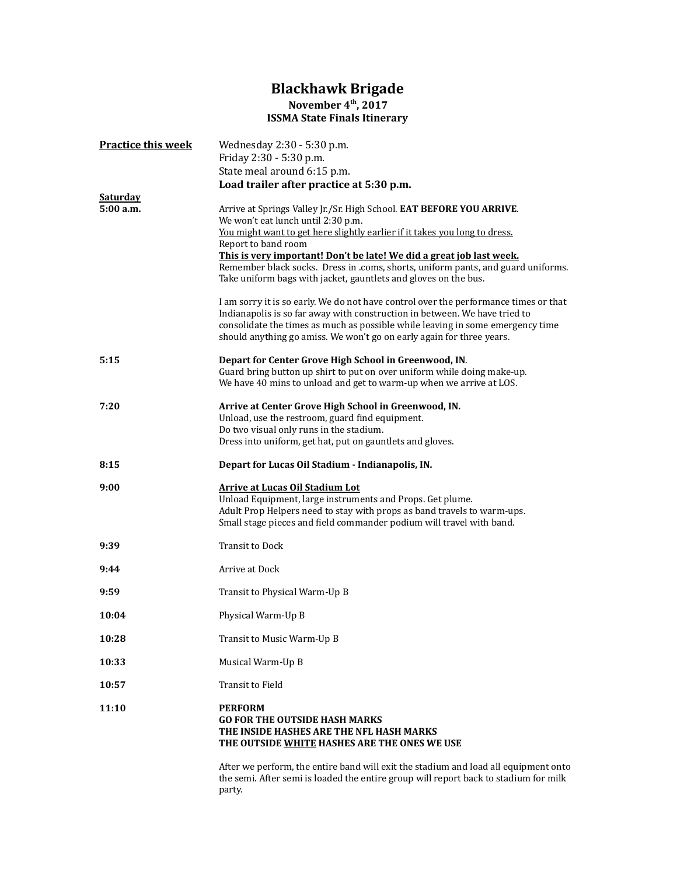## Blackhawk Brigade November 4<sup>th</sup>, 2017 ISSMA State Finals Itinerary

| <b>Practice this week</b> | Wednesday 2:30 - 5:30 p.m.<br>Friday 2:30 - 5:30 p.m.<br>State meal around 6:15 p.m.<br>Load trailer after practice at 5:30 p.m.                                                                                                                                                                                                                                                                                                               |
|---------------------------|------------------------------------------------------------------------------------------------------------------------------------------------------------------------------------------------------------------------------------------------------------------------------------------------------------------------------------------------------------------------------------------------------------------------------------------------|
| Saturday<br>5:00 a.m.     | Arrive at Springs Valley Jr./Sr. High School. EAT BEFORE YOU ARRIVE.<br>We won't eat lunch until 2:30 p.m.<br>You might want to get here slightly earlier if it takes you long to dress.<br>Report to band room<br>This is very important! Don't be late! We did a great job last week.<br>Remember black socks. Dress in .coms, shorts, uniform pants, and guard uniforms.<br>Take uniform bags with jacket, gauntlets and gloves on the bus. |
|                           | I am sorry it is so early. We do not have control over the performance times or that<br>Indianapolis is so far away with construction in between. We have tried to<br>consolidate the times as much as possible while leaving in some emergency time<br>should anything go amiss. We won't go on early again for three years.                                                                                                                  |
| 5:15                      | Depart for Center Grove High School in Greenwood, IN.<br>Guard bring button up shirt to put on over uniform while doing make-up.<br>We have 40 mins to unload and get to warm-up when we arrive at LOS.                                                                                                                                                                                                                                        |
| 7:20                      | Arrive at Center Grove High School in Greenwood, IN.<br>Unload, use the restroom, guard find equipment.<br>Do two visual only runs in the stadium.<br>Dress into uniform, get hat, put on gauntlets and gloves.                                                                                                                                                                                                                                |
| 8:15                      | Depart for Lucas Oil Stadium - Indianapolis, IN.                                                                                                                                                                                                                                                                                                                                                                                               |
| 9:00                      |                                                                                                                                                                                                                                                                                                                                                                                                                                                |
|                           | <b>Arrive at Lucas Oil Stadium Lot</b><br>Unload Equipment, large instruments and Props. Get plume.<br>Adult Prop Helpers need to stay with props as band travels to warm-ups.<br>Small stage pieces and field commander podium will travel with band.                                                                                                                                                                                         |
| 9:39                      | <b>Transit to Dock</b>                                                                                                                                                                                                                                                                                                                                                                                                                         |
| 9:44                      | Arrive at Dock                                                                                                                                                                                                                                                                                                                                                                                                                                 |
| 9:59                      | Transit to Physical Warm-Up B                                                                                                                                                                                                                                                                                                                                                                                                                  |
| 10:04                     | Physical Warm-Up B                                                                                                                                                                                                                                                                                                                                                                                                                             |
| 10:28                     | Transit to Music Warm-Up B                                                                                                                                                                                                                                                                                                                                                                                                                     |
| 10:33                     | Musical Warm-Up B                                                                                                                                                                                                                                                                                                                                                                                                                              |
| 10:57                     | Transit to Field                                                                                                                                                                                                                                                                                                                                                                                                                               |
| 11:10                     | <b>PERFORM</b><br><b>GO FOR THE OUTSIDE HASH MARKS</b><br>THE INSIDE HASHES ARE THE NFL HASH MARKS<br>THE OUTSIDE WHITE HASHES ARE THE ONES WE USE                                                                                                                                                                                                                                                                                             |

After we perform, the entire band will exit the stadium and load all equipment onto the semi. After semi is loaded the entire group will report back to stadium for milk party.